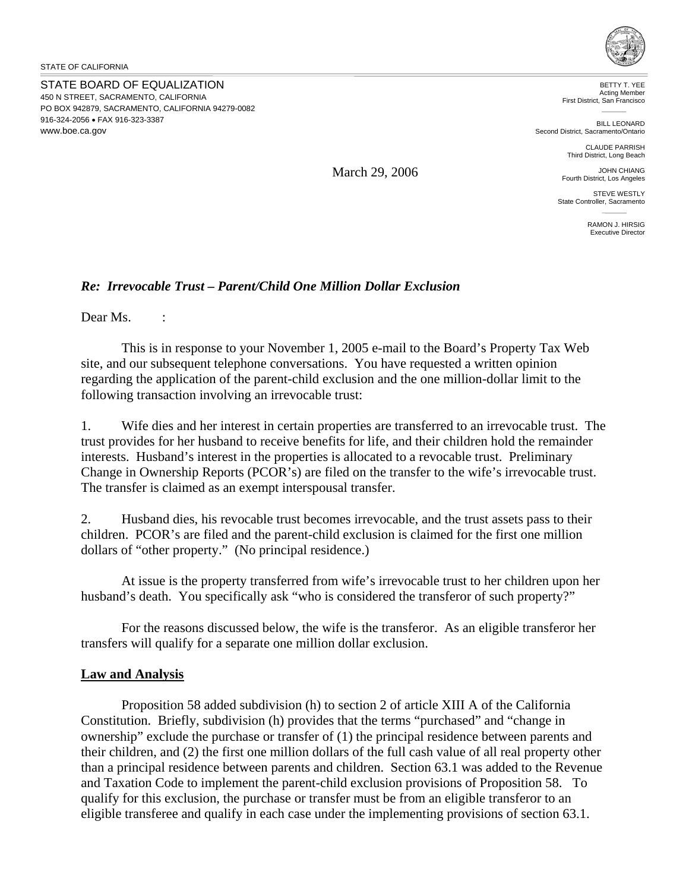STATE BOARD OF EQUALIZATION 450 N STREET, SACRAMENTO, CALIFORNIA PO BOX 942879, SACRAMENTO, CALIFORNIA 94279-0082 916-324-2056 • FAX 916-323-3387 <www.boe.ca.gov>



BETTY T. YEE Acting Member First District, San Francisco

BILL LEONARD Second District, Sacramento/Ontario

> CLAUDE PARRISH Third District, Long Beach

JOHN CHIANG Fourth District, Los Angeles

STEVE WESTLY State Controller, Sacramento

> RAMON J. HIRSIG Executive Director

## *Re: Irrevocable Trust – Parent/Child One Million Dollar Exclusion*

Dear Ms. :

This is in response to your November 1, 2005 e-mail to the Board's Property Tax Web site, and our subsequent telephone conversations. You have requested a written opinion regarding the application of the parent-child exclusion and the one million-dollar limit to the following transaction involving an irrevocable trust:

1. Wife dies and her interest in certain properties are transferred to an irrevocable trust. The trust provides for her husband to receive benefits for life, and their children hold the remainder interests. Husband's interest in the properties is allocated to a revocable trust. Preliminary Change in Ownership Reports (PCOR's) are filed on the transfer to the wife's irrevocable trust. The transfer is claimed as an exempt interspousal transfer.

2. Husband dies, his revocable trust becomes irrevocable, and the trust assets pass to their children. PCOR's are filed and the parent-child exclusion is claimed for the first one million dollars of "other property." (No principal residence.)

At issue is the property transferred from wife's irrevocable trust to her children upon her husband's death. You specifically ask "who is considered the transferor of such property?"

For the reasons discussed below, the wife is the transferor. As an eligible transferor her transfers will qualify for a separate one million dollar exclusion.

## **Law and Analysis**

Proposition 58 added subdivision (h) to section 2 of article XIII A of the California Constitution. Briefly, subdivision (h) provides that the terms "purchased" and "change in ownership" exclude the purchase or transfer of (1) the principal residence between parents and their children, and (2) the first one million dollars of the full cash value of all real property other than a principal residence between parents and children. Section 63.1 was added to the Revenue and Taxation Code to implement the parent-child exclusion provisions of Proposition 58. To qualify for this exclusion, the purchase or transfer must be from an eligible transferor to an eligible transferee and qualify in each case under the implementing provisions of section 63.1.

March 29, 2006